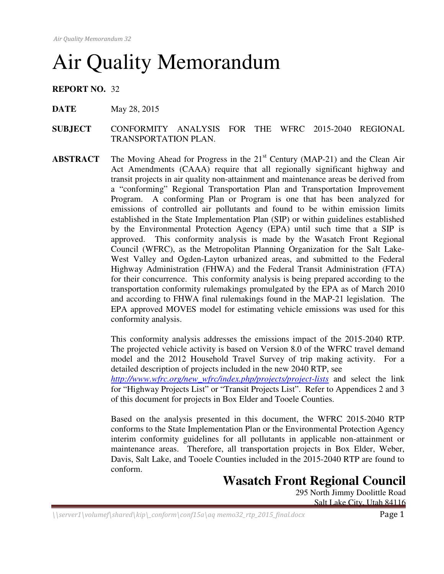# Air Quality Memorandum

**REPORT NO.** 32

- **DATE** May 28, 2015
- **SUBJECT** CONFORMITY ANALYSIS FOR THE WFRC 2015-2040 REGIONAL TRANSPORTATION PLAN.
- **ABSTRACT** The Moving Ahead for Progress in the 21<sup>st</sup> Century (MAP-21) and the Clean Air Act Amendments (CAAA) require that all regionally significant highway and transit projects in air quality non-attainment and maintenance areas be derived from a "conforming" Regional Transportation Plan and Transportation Improvement Program. A conforming Plan or Program is one that has been analyzed for emissions of controlled air pollutants and found to be within emission limits established in the State Implementation Plan (SIP) or within guidelines established by the Environmental Protection Agency (EPA) until such time that a SIP is approved. This conformity analysis is made by the Wasatch Front Regional Council (WFRC), as the Metropolitan Planning Organization for the Salt Lake-West Valley and Ogden-Layton urbanized areas, and submitted to the Federal Highway Administration (FHWA) and the Federal Transit Administration (FTA) for their concurrence. This conformity analysis is being prepared according to the transportation conformity rulemakings promulgated by the EPA as of March 2010 and according to FHWA final rulemakings found in the MAP-21 legislation. The EPA approved MOVES model for estimating vehicle emissions was used for this conformity analysis.

This conformity analysis addresses the emissions impact of the 2015-2040 RTP. The projected vehicle activity is based on Version 8.0 of the WFRC travel demand model and the 2012 Household Travel Survey of trip making activity. For a detailed description of projects included in the new 2040 RTP, see

*http://www.wfrc.org/new\_wfrc/index.php/projects/project-lists* and select the link for "Highway Projects List" or "Transit Projects List". Refer to Appendices 2 and 3 of this document for projects in Box Elder and Tooele Counties.

Based on the analysis presented in this document, the WFRC 2015-2040 RTP conforms to the State Implementation Plan or the Environmental Protection Agency interim conformity guidelines for all pollutants in applicable non-attainment or maintenance areas. Therefore, all transportation projects in Box Elder, Weber, Davis, Salt Lake, and Tooele Counties included in the 2015-2040 RTP are found to conform.

## **Wasatch Front Regional Council**

295 North Jimmy Doolittle Road Salt Lake City, Utah 84116

 $\langle \text{Server1}\rangle$ volumef $\langle \text{shared}\rangle$ kip $\langle \text{conform}\rangle$ conf $15a\backslash aq$  memo32\_rtp\_2015\_final.docx  $Page$  1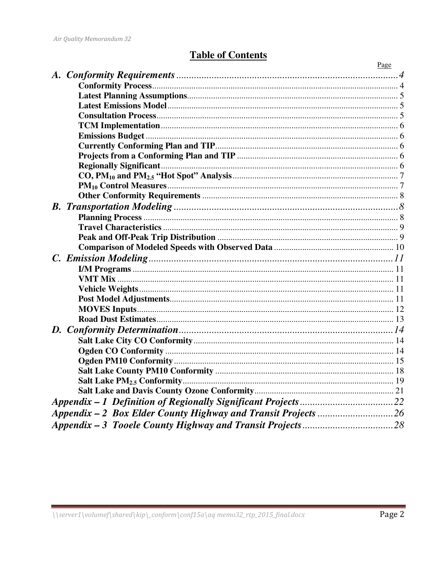## **Table of Contents**

|           | Page |
|-----------|------|
|           |      |
|           |      |
|           |      |
|           |      |
|           |      |
|           |      |
|           |      |
|           |      |
|           |      |
|           |      |
|           |      |
|           |      |
|           |      |
| <b>B.</b> |      |
|           |      |
|           |      |
|           |      |
|           |      |
|           |      |
|           |      |
|           |      |
|           |      |
|           |      |
|           |      |
|           |      |
|           |      |
|           |      |
|           |      |
|           |      |
|           |      |
|           |      |
|           |      |
|           |      |
|           |      |
|           |      |
|           |      |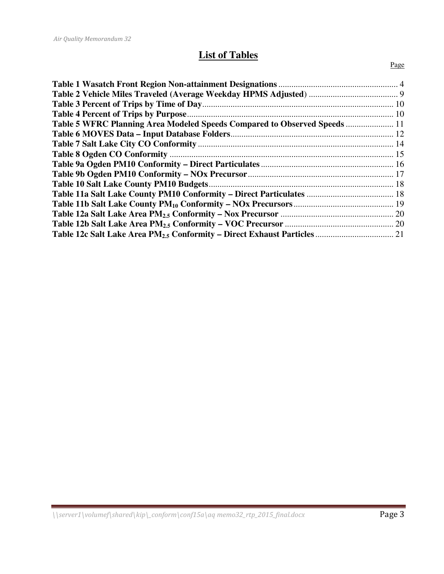## **List of Tables**

#### Page

| Table 5 WFRC Planning Area Modeled Speeds Compared to Observed Speeds  11 |  |
|---------------------------------------------------------------------------|--|
|                                                                           |  |
|                                                                           |  |
|                                                                           |  |
|                                                                           |  |
|                                                                           |  |
|                                                                           |  |
|                                                                           |  |
|                                                                           |  |
|                                                                           |  |
|                                                                           |  |
|                                                                           |  |
|                                                                           |  |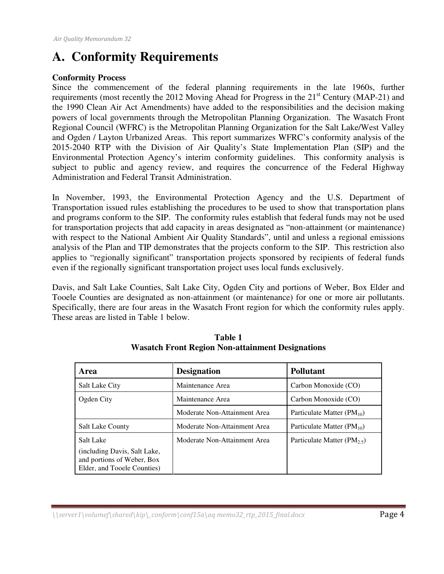## **A. Conformity Requirements**

#### **Conformity Process**

Since the commencement of the federal planning requirements in the late 1960s, further requirements (most recently the 2012 Moving Ahead for Progress in the 21<sup>st</sup> Century (MAP-21) and the 1990 Clean Air Act Amendments) have added to the responsibilities and the decision making powers of local governments through the Metropolitan Planning Organization. The Wasatch Front Regional Council (WFRC) is the Metropolitan Planning Organization for the Salt Lake/West Valley and Ogden / Layton Urbanized Areas. This report summarizes WFRC's conformity analysis of the 2015-2040 RTP with the Division of Air Quality's State Implementation Plan (SIP) and the Environmental Protection Agency's interim conformity guidelines. This conformity analysis is subject to public and agency review, and requires the concurrence of the Federal Highway Administration and Federal Transit Administration.

In November, 1993, the Environmental Protection Agency and the U.S. Department of Transportation issued rules establishing the procedures to be used to show that transportation plans and programs conform to the SIP. The conformity rules establish that federal funds may not be used for transportation projects that add capacity in areas designated as "non-attainment (or maintenance) with respect to the National Ambient Air Quality Standards", until and unless a regional emissions analysis of the Plan and TIP demonstrates that the projects conform to the SIP. This restriction also applies to "regionally significant" transportation projects sponsored by recipients of federal funds even if the regionally significant transportation project uses local funds exclusively.

Davis, and Salt Lake Counties, Salt Lake City, Ogden City and portions of Weber, Box Elder and Tooele Counties are designated as non-attainment (or maintenance) for one or more air pollutants. Specifically, there are four areas in the Wasatch Front region for which the conformity rules apply. These areas are listed in Table 1 below.

| Area                                                                                      | <b>Designation</b>           | <b>Pollutant</b>                        |
|-------------------------------------------------------------------------------------------|------------------------------|-----------------------------------------|
| Salt Lake City                                                                            | Maintenance Area             | Carbon Monoxide (CO)                    |
| Ogden City                                                                                | Maintenance Area             | Carbon Monoxide (CO)                    |
|                                                                                           | Moderate Non-Attainment Area | Particulate Matter $(PM_{10})$          |
| <b>Salt Lake County</b>                                                                   | Moderate Non-Attainment Area | Particulate Matter $(PM_{10})$          |
| Salt Lake                                                                                 | Moderate Non-Attainment Area | Particulate Matter (PM <sub>2.5</sub> ) |
| (including Davis, Salt Lake,<br>and portions of Weber, Box<br>Elder, and Tooele Counties) |                              |                                         |

**Table 1 Wasatch Front Region Non-attainment Designations**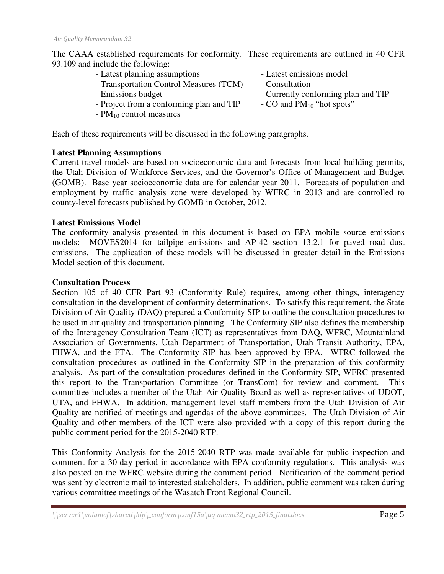The CAAA established requirements for conformity. These requirements are outlined in 40 CFR 93.109 and include the following:

- Latest planning assumptions Latest emissions model
- Transportation Control Measures (TCM) Consultation<br>- Emissions budget Currently con
- 
- Project from a conforming plan and TIP
- $PM_{10}$  control measures
- 
- 
- Currently conforming plan and TIP<br>- CO and  $PM_{10}$  "hot spots"
- 

Each of these requirements will be discussed in the following paragraphs.

#### **Latest Planning Assumptions**

Current travel models are based on socioeconomic data and forecasts from local building permits, the Utah Division of Workforce Services, and the Governor's Office of Management and Budget (GOMB). Base year socioeconomic data are for calendar year 2011. Forecasts of population and employment by traffic analysis zone were developed by WFRC in 2013 and are controlled to county-level forecasts published by GOMB in October, 2012.

#### **Latest Emissions Model**

The conformity analysis presented in this document is based on EPA mobile source emissions models: MOVES2014 for tailpipe emissions and AP-42 section 13.2.1 for paved road dust emissions. The application of these models will be discussed in greater detail in the Emissions Model section of this document.

#### **Consultation Process**

Section 105 of 40 CFR Part 93 (Conformity Rule) requires, among other things, interagency consultation in the development of conformity determinations. To satisfy this requirement, the State Division of Air Quality (DAQ) prepared a Conformity SIP to outline the consultation procedures to be used in air quality and transportation planning. The Conformity SIP also defines the membership of the Interagency Consultation Team (ICT) as representatives from DAQ, WFRC, Mountainland Association of Governments, Utah Department of Transportation, Utah Transit Authority, EPA, FHWA, and the FTA. The Conformity SIP has been approved by EPA. WFRC followed the consultation procedures as outlined in the Conformity SIP in the preparation of this conformity analysis. As part of the consultation procedures defined in the Conformity SIP, WFRC presented this report to the Transportation Committee (or TransCom) for review and comment. This committee includes a member of the Utah Air Quality Board as well as representatives of UDOT, UTA, and FHWA. In addition, management level staff members from the Utah Division of Air Quality are notified of meetings and agendas of the above committees. The Utah Division of Air Quality and other members of the ICT were also provided with a copy of this report during the public comment period for the 2015-2040 RTP.

This Conformity Analysis for the 2015-2040 RTP was made available for public inspection and comment for a 30-day period in accordance with EPA conformity regulations. This analysis was also posted on the WFRC website during the comment period. Notification of the comment period was sent by electronic mail to interested stakeholders. In addition, public comment was taken during various committee meetings of the Wasatch Front Regional Council.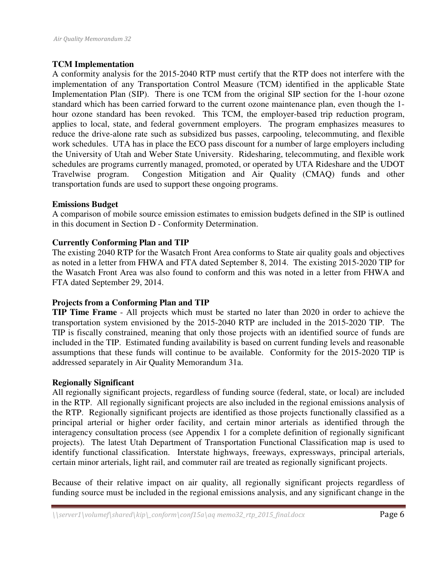#### **TCM Implementation**

A conformity analysis for the 2015-2040 RTP must certify that the RTP does not interfere with the implementation of any Transportation Control Measure (TCM) identified in the applicable State Implementation Plan (SIP). There is one TCM from the original SIP section for the 1-hour ozone standard which has been carried forward to the current ozone maintenance plan, even though the 1 hour ozone standard has been revoked. This TCM, the employer-based trip reduction program, applies to local, state, and federal government employers. The program emphasizes measures to reduce the drive-alone rate such as subsidized bus passes, carpooling, telecommuting, and flexible work schedules. UTA has in place the ECO pass discount for a number of large employers including the University of Utah and Weber State University. Ridesharing, telecommuting, and flexible work schedules are programs currently managed, promoted, or operated by UTA Rideshare and the UDOT Travelwise program. Congestion Mitigation and Air Quality (CMAQ) funds and other transportation funds are used to support these ongoing programs.

#### **Emissions Budget**

A comparison of mobile source emission estimates to emission budgets defined in the SIP is outlined in this document in Section D - Conformity Determination.

#### **Currently Conforming Plan and TIP**

The existing 2040 RTP for the Wasatch Front Area conforms to State air quality goals and objectives as noted in a letter from FHWA and FTA dated September 8, 2014. The existing 2015-2020 TIP for the Wasatch Front Area was also found to conform and this was noted in a letter from FHWA and FTA dated September 29, 2014.

#### **Projects from a Conforming Plan and TIP**

**TIP Time Frame** - All projects which must be started no later than 2020 in order to achieve the transportation system envisioned by the 2015-2040 RTP are included in the 2015-2020 TIP. The TIP is fiscally constrained, meaning that only those projects with an identified source of funds are included in the TIP. Estimated funding availability is based on current funding levels and reasonable assumptions that these funds will continue to be available. Conformity for the 2015-2020 TIP is addressed separately in Air Quality Memorandum 31a.

#### **Regionally Significant**

All regionally significant projects, regardless of funding source (federal, state, or local) are included in the RTP. All regionally significant projects are also included in the regional emissions analysis of the RTP. Regionally significant projects are identified as those projects functionally classified as a principal arterial or higher order facility, and certain minor arterials as identified through the interagency consultation process (see Appendix 1 for a complete definition of regionally significant projects). The latest Utah Department of Transportation Functional Classification map is used to identify functional classification. Interstate highways, freeways, expressways, principal arterials, certain minor arterials, light rail, and commuter rail are treated as regionally significant projects.

Because of their relative impact on air quality, all regionally significant projects regardless of funding source must be included in the regional emissions analysis, and any significant change in the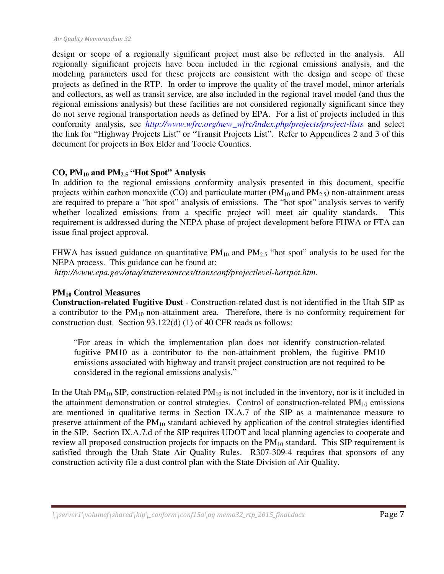design or scope of a regionally significant project must also be reflected in the analysis. All regionally significant projects have been included in the regional emissions analysis, and the modeling parameters used for these projects are consistent with the design and scope of these projects as defined in the RTP. In order to improve the quality of the travel model, minor arterials and collectors, as well as transit service, are also included in the regional travel model (and thus the regional emissions analysis) but these facilities are not considered regionally significant since they do not serve regional transportation needs as defined by EPA. For a list of projects included in this conformity analysis, see *http://www.wfrc.org/new\_wfrc/index.php/projects/project-lists* and select the link for "Highway Projects List" or "Transit Projects List". Refer to Appendices 2 and 3 of this document for projects in Box Elder and Tooele Counties.

#### **CO, PM10 and PM2.5 "Hot Spot" Analysis**

In addition to the regional emissions conformity analysis presented in this document, specific projects within carbon monoxide (CO) and particulate matter ( $PM_{10}$  and  $PM_{2.5}$ ) non-attainment areas are required to prepare a "hot spot" analysis of emissions. The "hot spot" analysis serves to verify whether localized emissions from a specific project will meet air quality standards. This requirement is addressed during the NEPA phase of project development before FHWA or FTA can issue final project approval.

FHWA has issued guidance on quantitative  $PM_{10}$  and  $PM_{2.5}$  "hot spot" analysis to be used for the NEPA process. This guidance can be found at:

 *http://www.epa.gov/otaq/stateresources/transconf/projectlevel-hotspot.htm.* 

#### **PM10 Control Measures**

**Construction-related Fugitive Dust** - Construction-related dust is not identified in the Utah SIP as a contributor to the  $PM_{10}$  non-attainment area. Therefore, there is no conformity requirement for construction dust. Section 93.122(d) (1) of 40 CFR reads as follows:

"For areas in which the implementation plan does not identify construction-related fugitive PM10 as a contributor to the non-attainment problem, the fugitive PM10 emissions associated with highway and transit project construction are not required to be considered in the regional emissions analysis."

In the Utah PM<sub>10</sub> SIP, construction-related PM<sub>10</sub> is not included in the inventory, nor is it included in the attainment demonstration or control strategies. Control of construction-related  $PM_{10}$  emissions are mentioned in qualitative terms in Section IX.A.7 of the SIP as a maintenance measure to preserve attainment of the  $PM_{10}$  standard achieved by application of the control strategies identified in the SIP. Section IX.A.7.d of the SIP requires UDOT and local planning agencies to cooperate and review all proposed construction projects for impacts on the  $PM_{10}$  standard. This SIP requirement is satisfied through the Utah State Air Quality Rules. R307-309-4 requires that sponsors of any construction activity file a dust control plan with the State Division of Air Quality.

 $\langle \text{Server1}\rangle$ volumef $\langle \text{shared}\rangle$ kip $\langle \text{conform}\rangle$ conf15a $\langle \text{aq memo32_rtp_2015_final.docx}$  Page 7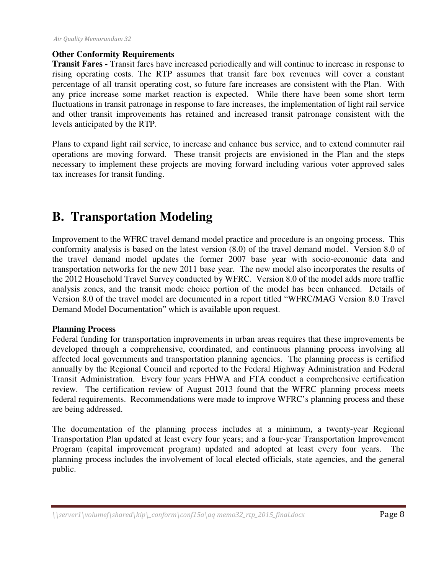#### **Other Conformity Requirements**

**Transit Fares -** Transit fares have increased periodically and will continue to increase in response to rising operating costs. The RTP assumes that transit fare box revenues will cover a constant percentage of all transit operating cost, so future fare increases are consistent with the Plan. With any price increase some market reaction is expected. While there have been some short term fluctuations in transit patronage in response to fare increases, the implementation of light rail service and other transit improvements has retained and increased transit patronage consistent with the levels anticipated by the RTP.

Plans to expand light rail service, to increase and enhance bus service, and to extend commuter rail operations are moving forward. These transit projects are envisioned in the Plan and the steps necessary to implement these projects are moving forward including various voter approved sales tax increases for transit funding.

## **B. Transportation Modeling**

Improvement to the WFRC travel demand model practice and procedure is an ongoing process. This conformity analysis is based on the latest version (8.0) of the travel demand model. Version 8.0 of the travel demand model updates the former 2007 base year with socio-economic data and transportation networks for the new 2011 base year. The new model also incorporates the results of the 2012 Household Travel Survey conducted by WFRC. Version 8.0 of the model adds more traffic analysis zones, and the transit mode choice portion of the model has been enhanced. Details of Version 8.0 of the travel model are documented in a report titled "WFRC/MAG Version 8.0 Travel Demand Model Documentation" which is available upon request.

#### **Planning Process**

Federal funding for transportation improvements in urban areas requires that these improvements be developed through a comprehensive, coordinated, and continuous planning process involving all affected local governments and transportation planning agencies. The planning process is certified annually by the Regional Council and reported to the Federal Highway Administration and Federal Transit Administration. Every four years FHWA and FTA conduct a comprehensive certification review. The certification review of August 2013 found that the WFRC planning process meets federal requirements. Recommendations were made to improve WFRC's planning process and these are being addressed.

The documentation of the planning process includes at a minimum, a twenty-year Regional Transportation Plan updated at least every four years; and a four-year Transportation Improvement Program (capital improvement program) updated and adopted at least every four years. The planning process includes the involvement of local elected officials, state agencies, and the general public.

 $\langle \text{Server1}\rangle$ volumef $\langle \text{shared}\rangle$ kip $\langle \text{conform}\rangle$ conf $15a\backslash aq$  memo32\_rtp\_2015\_final.docx  $Page$  8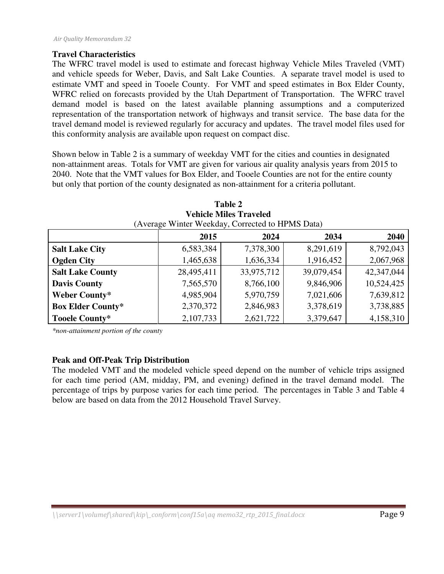#### **Travel Characteristics**

The WFRC travel model is used to estimate and forecast highway Vehicle Miles Traveled (VMT) and vehicle speeds for Weber, Davis, and Salt Lake Counties. A separate travel model is used to estimate VMT and speed in Tooele County. For VMT and speed estimates in Box Elder County, WFRC relied on forecasts provided by the Utah Department of Transportation. The WFRC travel demand model is based on the latest available planning assumptions and a computerized representation of the transportation network of highways and transit service. The base data for the travel demand model is reviewed regularly for accuracy and updates. The travel model files used for this conformity analysis are available upon request on compact disc.

Shown below in Table 2 is a summary of weekday VMT for the cities and counties in designated non-attainment areas. Totals for VMT are given for various air quality analysis years from 2015 to 2040. Note that the VMT values for Box Elder, and Tooele Counties are not for the entire county but only that portion of the county designated as non-attainment for a criteria pollutant.

| (Average Winter Weekday, Corrected to HPMS Data) |                              |            |            |            |  |  |
|--------------------------------------------------|------------------------------|------------|------------|------------|--|--|
|                                                  | 2015<br>2034<br>2024<br>2040 |            |            |            |  |  |
| <b>Salt Lake City</b>                            | 6,583,384                    | 7,378,300  | 8,291,619  | 8,792,043  |  |  |
| <b>Ogden City</b>                                | 1,465,638                    | 1,636,334  | 1,916,452  | 2,067,968  |  |  |
| <b>Salt Lake County</b>                          | 28,495,411                   | 33,975,712 | 39,079,454 | 42,347,044 |  |  |
| <b>Davis County</b>                              | 7,565,570                    | 8,766,100  | 9,846,906  | 10,524,425 |  |  |
| Weber County*                                    | 4,985,904                    | 5,970,759  | 7,021,606  | 7,639,812  |  |  |
| <b>Box Elder County*</b>                         | 2,370,372                    | 2,846,983  | 3,378,619  | 3,738,885  |  |  |
| Tooele County*                                   | 2,107,733                    | 2,621,722  | 3,379,647  | 4,158,310  |  |  |

| <b>Table 2</b>                                                                          |
|-----------------------------------------------------------------------------------------|
| <b>Vehicle Miles Traveled</b>                                                           |
| $(\Lambda_{\text{V} \text{array}} \text{Winter-Waakdav} \text{Corrected to HDMS Data})$ |

*\*non-attainment portion of the county* 

#### **Peak and Off-Peak Trip Distribution**

The modeled VMT and the modeled vehicle speed depend on the number of vehicle trips assigned for each time period (AM, midday, PM, and evening) defined in the travel demand model. The percentage of trips by purpose varies for each time period. The percentages in Table 3 and Table 4 below are based on data from the 2012 Household Travel Survey.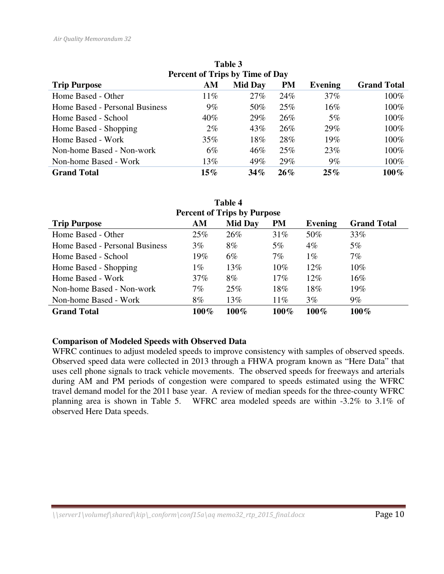| Table 3                                |        |                |           |         |                    |  |  |
|----------------------------------------|--------|----------------|-----------|---------|--------------------|--|--|
| <b>Percent of Trips by Time of Day</b> |        |                |           |         |                    |  |  |
| <b>Trip Purpose</b>                    | AM     | <b>Mid Day</b> | <b>PM</b> | Evening | <b>Grand Total</b> |  |  |
| Home Based - Other                     | $11\%$ | 27%            | 24%       | 37%     | 100%               |  |  |
| Home Based - Personal Business         | $9\%$  | 50%            | 25%       | $16\%$  | 100%               |  |  |
| Home Based - School                    | $40\%$ | 29%            | 26%       | $5\%$   | 100%               |  |  |
| Home Based - Shopping                  | $2\%$  | 43%            | 26%       | 29%     | 100%               |  |  |
| Home Based - Work                      | $35\%$ | 18%            | 28%       | 19%     | 100%               |  |  |
| Non-home Based - Non-work              | $6\%$  | $46\%$         | 25%       | 23%     | 100%               |  |  |
| Non-home Based - Work                  | 13%    | 49%            | 29%       | $9\%$   | 100%               |  |  |
| <b>Grand Total</b>                     | $15\%$ | $34\%$         | 26%       | $25\%$  | $100\%$            |  |  |

| <b>Table 4</b>                                                                            |       |       |        |        |        |  |  |
|-------------------------------------------------------------------------------------------|-------|-------|--------|--------|--------|--|--|
| <b>Percent of Trips by Purpose</b>                                                        |       |       |        |        |        |  |  |
| <b>PM</b><br><b>Mid Day</b><br><b>Grand Total</b><br><b>Trip Purpose</b><br>AM<br>Evening |       |       |        |        |        |  |  |
| Home Based - Other                                                                        | 25%   | 26%   | 31%    | 50%    | 33%    |  |  |
| Home Based - Personal Business                                                            | $3\%$ | $8\%$ | $5\%$  | $4\%$  | $5\%$  |  |  |
| Home Based - School                                                                       | 19%   | $6\%$ | 7%     | $1\%$  | $7\%$  |  |  |
| Home Based - Shopping                                                                     | $1\%$ | 13%   | $10\%$ | $12\%$ | $10\%$ |  |  |
| Home Based - Work                                                                         | 37%   | $8\%$ | 17%    | $12\%$ | $16\%$ |  |  |
| Non-home Based - Non-work                                                                 | $7\%$ | 25%   | 18%    | 18%    | 19%    |  |  |
| Non-home Based - Work                                                                     | $8\%$ | 13%   | $11\%$ | $3\%$  | $9\%$  |  |  |
| $100\%$<br>$100\%$<br>$100\%$<br>$100\%$<br>$100\%$<br><b>Grand Total</b>                 |       |       |        |        |        |  |  |

#### **Comparison of Modeled Speeds with Observed Data**

WFRC continues to adjust modeled speeds to improve consistency with samples of observed speeds. Observed speed data were collected in 2013 through a FHWA program known as "Here Data" that uses cell phone signals to track vehicle movements. The observed speeds for freeways and arterials during AM and PM periods of congestion were compared to speeds estimated using the WFRC travel demand model for the 2011 base year. A review of median speeds for the three-county WFRC planning area is shown in Table 5. WFRC area modeled speeds are within -3.2% to 3.1% of observed Here Data speeds.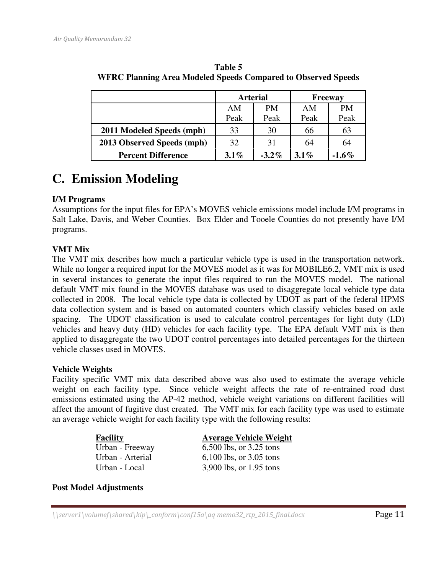|                            | <b>Arterial</b> |           | <b>Freeway</b> |          |  |
|----------------------------|-----------------|-----------|----------------|----------|--|
|                            | AM              | <b>PM</b> | AM             | PM       |  |
|                            | Peak            | Peak      | Peak           | Peak     |  |
| 2011 Modeled Speeds (mph)  | 33              | 30        | 66             | 63       |  |
| 2013 Observed Speeds (mph) | 32              | 31        | 64             | 64       |  |
| <b>Percent Difference</b>  | $3.1\%$         | $-3.2\%$  | $3.1\%$        | $-1.6\%$ |  |

**Table 5 WFRC Planning Area Modeled Speeds Compared to Observed Speeds** 

## **C. Emission Modeling**

#### **I/M Programs**

Assumptions for the input files for EPA's MOVES vehicle emissions model include I/M programs in Salt Lake, Davis, and Weber Counties. Box Elder and Tooele Counties do not presently have I/M programs.

#### **VMT Mix**

The VMT mix describes how much a particular vehicle type is used in the transportation network. While no longer a required input for the MOVES model as it was for MOBILE6.2, VMT mix is used in several instances to generate the input files required to run the MOVES model. The national default VMT mix found in the MOVES database was used to disaggregate local vehicle type data collected in 2008. The local vehicle type data is collected by UDOT as part of the federal HPMS data collection system and is based on automated counters which classify vehicles based on axle spacing. The UDOT classification is used to calculate control percentages for light duty (LD) vehicles and heavy duty (HD) vehicles for each facility type. The EPA default VMT mix is then applied to disaggregate the two UDOT control percentages into detailed percentages for the thirteen vehicle classes used in MOVES.

#### **Vehicle Weights**

Facility specific VMT mix data described above was also used to estimate the average vehicle weight on each facility type. Since vehicle weight affects the rate of re-entrained road dust emissions estimated using the AP-42 method, vehicle weight variations on different facilities will affect the amount of fugitive dust created. The VMT mix for each facility type was used to estimate an average vehicle weight for each facility type with the following results:

| <b>Facility</b>  | <b>Average Vehicle Weight</b> |
|------------------|-------------------------------|
| Urban - Freeway  | 6,500 lbs, or $3.25$ tons     |
| Urban - Arterial | 6,100 lbs, or $3.05$ tons     |
| Urban - Local    | 3,900 lbs, or 1.95 tons       |

**Post Model Adjustments**

 $\langle \text{Server1}\rangle$ volumef $\langle \text{shared}\rangle$ kip $\langle \text{conform}\rangle$ conf $15a\backslash aq$  memo32\_rtp\_2015\_final.docx **Page 11**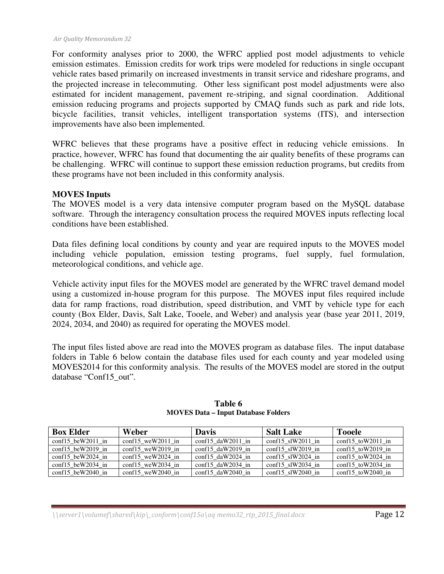For conformity analyses prior to 2000, the WFRC applied post model adjustments to vehicle emission estimates. Emission credits for work trips were modeled for reductions in single occupant vehicle rates based primarily on increased investments in transit service and rideshare programs, and the projected increase in telecommuting. Other less significant post model adjustments were also estimated for incident management, pavement re-striping, and signal coordination. Additional emission reducing programs and projects supported by CMAQ funds such as park and ride lots, bicycle facilities, transit vehicles, intelligent transportation systems (ITS), and intersection improvements have also been implemented.

WFRC believes that these programs have a positive effect in reducing vehicle emissions. In practice, however, WFRC has found that documenting the air quality benefits of these programs can be challenging. WFRC will continue to support these emission reduction programs, but credits from these programs have not been included in this conformity analysis.

#### **MOVES Inputs**

The MOVES model is a very data intensive computer program based on the MySQL database software. Through the interagency consultation process the required MOVES inputs reflecting local conditions have been established.

Data files defining local conditions by county and year are required inputs to the MOVES model including vehicle population, emission testing programs, fuel supply, fuel formulation, meteorological conditions, and vehicle age.

Vehicle activity input files for the MOVES model are generated by the WFRC travel demand model using a customized in-house program for this purpose. The MOVES input files required include data for ramp fractions, road distribution, speed distribution, and VMT by vehicle type for each county (Box Elder, Davis, Salt Lake, Tooele, and Weber) and analysis year (base year 2011, 2019, 2024, 2034, and 2040) as required for operating the MOVES model.

The input files listed above are read into the MOVES program as database files. The input database folders in Table 6 below contain the database files used for each county and year modeled using MOVES2014 for this conformity analysis. The results of the MOVES model are stored in the output database "Conf15\_out".

| <b>Box Elder</b>           | Weber                      | <b>Davis</b>               | <b>Salt Lake</b>     | <b>Tooele</b>      |
|----------------------------|----------------------------|----------------------------|----------------------|--------------------|
| conf15 beW2011 in          | $\text{conf15}$ weW2011 in | conf15 $d$ aW2011 in       | conf15 $s$ IW2011 in | conf15 to W2011 in |
| conf15 beW2019 in          | conf15 weW2019 in          | conf15 $d$ aW2019 in       | conf15 $s$ IW2019 in | conf15 toW2019 in  |
| conf15 beW2024 in          | conf15 weW2024 in          | $\text{conf15}$ daW2024 in | conf15 $s$ IW2024 in | conf15 to W2024 in |
| $\text{conf15}$ beW2034 in | $\text{conf15}$ weW2034 in | $\text{conf15}$ daW2034 in | conf15 $s$ IW2034 in | conf15 toW2034 in  |
| $\text{conf15}$ beW2040 in | conf15 weW2040 in          | conf15 daW2040 in          | conf15 $s$ IW2040 in | conf15 toW2040 in  |

**Table 6 MOVES Data – Input Database Folders** 

 $\langle \text{Server1}\rangle$ volumef $\langle \text{shared}\rangle$ kip $\langle \text{conform}\rangle$ conf $15a\backslash aq$  memo32\_rtp\_2015\_final.docx **Page 12**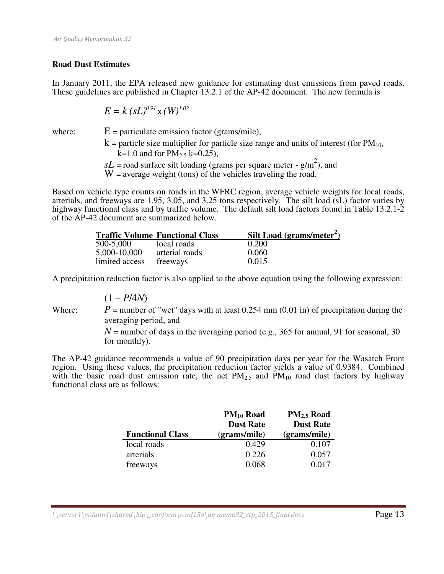#### **Road Dust Estimates**

In January 2011, the EPA released new guidance for estimating dust emissions from paved roads. These guidelines are published in Chapter 13.2.1 of the AP-42 document. The new formula is

$$
E = k (sL)^{0.91} \times (W)^{1.02}
$$

where:  $E =$  particulate emission factor (grams/mile),

 $k =$  particle size multiplier for particle size range and units of interest (for  $PM_{10}$ ,  $k=1.0$  and for  $PM_{2.5}$  k=0.25),

 $sL$  = road surface silt loading (grams per square meter -  $g/m<sup>2</sup>$ ), and

 $W =$  average weight (tons) of the vehicles traveling the road.

Based on vehicle type counts on roads in the WFRC region, average vehicle weights for local roads, arterials, and freeways are 1.95, 3.05, and 3.25 tons respectively. The silt load (sL) factor varies by highway functional class and by traffic volume. The default silt load factors found in Table 13.2.1-2 of the AP-42 document are summarized below.

|                | <b>Traffic Volume Functional Class</b> | Silt Load (grams/meter <sup>2</sup> ) |
|----------------|----------------------------------------|---------------------------------------|
| 500-5,000      | local roads                            | 0.200                                 |
| 5,000-10,000   | arterial roads                         | 0.060                                 |
| limited access | freeways                               | 0.015                                 |

A precipitation reduction factor is also applied to the above equation using the following expression:

$$
(1 - P/4N)
$$

Where:  $P =$  number of "wet" days with at least 0.254 mm (0.01 in) of precipitation during the averaging period, and

> $N$  = number of days in the averaging period (e.g., 365 for annual, 91 for seasonal, 30 for monthly).

The AP-42 guidance recommends a value of 90 precipitation days per year for the Wasatch Front region. Using these values, the precipitation reduction factor yields a value of 0.9384. Combined with the basic road dust emission rate, the net  $PM_{2.5}$  and  $PM_{10}$  road dust factors by highway functional class are as follows:

|                         | $PM_{10}$ Road   | PM <sub>2.5</sub> Road |
|-------------------------|------------------|------------------------|
|                         | <b>Dust Rate</b> | <b>Dust Rate</b>       |
| <b>Functional Class</b> | (grams/mile)     | (grams/mile)           |
| local roads             | 0.429            | 0.107                  |
| arterials               | 0.226            | 0.057                  |
| freeways                | 0.068            | 0.017                  |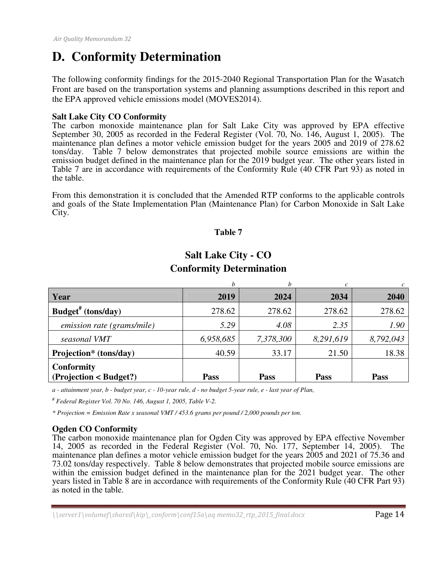## **D. Conformity Determination**

The following conformity findings for the 2015-2040 Regional Transportation Plan for the Wasatch Front are based on the transportation systems and planning assumptions described in this report and the EPA approved vehicle emissions model (MOVES2014).

#### **Salt Lake City CO Conformity**

The carbon monoxide maintenance plan for Salt Lake City was approved by EPA effective September 30, 2005 as recorded in the Federal Register (Vol. 70, No. 146, August 1, 2005). The maintenance plan defines a motor vehicle emission budget for the years 2005 and 2019 of 278.62 tons/day. Table 7 below demonstrates that projected mobile source emissions are within the emission budget defined in the maintenance plan for the 2019 budget year. The other years listed in Table 7 are in accordance with requirements of the Conformity Rule (40 CFR Part 93) as noted in the table.

From this demonstration it is concluded that the Amended RTP conforms to the applicable controls and goals of the State Implementation Plan (Maintenance Plan) for Carbon Monoxide in Salt Lake City.

#### **Table 7**

|                                             | h           | h         |           |           |
|---------------------------------------------|-------------|-----------|-----------|-----------|
| Year                                        | 2019        | 2024      | 2034      | 2040      |
| Budget <sup>#</sup> (tons/day)              | 278.62      | 278.62    | 278.62    | 278.62    |
| emission rate (grams/mile)                  | 5.29        | 4.08      | 2.35      | 1.90      |
| seasonal VMT                                | 6,958,685   | 7,378,300 | 8,291,619 | 8,792,043 |
| Projection* (tons/day)                      | 40.59       | 33.17     | 21.50     | 18.38     |
| <b>Conformity</b><br>(Projection < Budget?) | <b>Pass</b> | Pass      | Pass      | Pass      |

### **Salt Lake City - CO Conformity Determination**

*a - attainment year, b - budget year, c - 10-year rule, d - no budget 5-year rule, e - last year of Plan,* 

*# Federal Register Vol. 70 No. 146, August 1, 2005, Table V-2.* 

*\* Projection = Emission Rate x seasonal VMT / 453.6 grams per pound / 2,000 pounds per ton.* 

#### **Ogden CO Conformity**

The carbon monoxide maintenance plan for Ogden City was approved by EPA effective November 14, 2005 as recorded in the Federal Register (Vol. 70, No. 177, September 14, 2005). The maintenance plan defines a motor vehicle emission budget for the years 2005 and 2021 of 75.36 and 73.02 tons/day respectively. Table 8 below demonstrates that projected mobile source emissions are within the emission budget defined in the maintenance plan for the 2021 budget year. The other years listed in Table 8 are in accordance with requirements of the Conformity Rule (40 CFR Part 93) as noted in the table.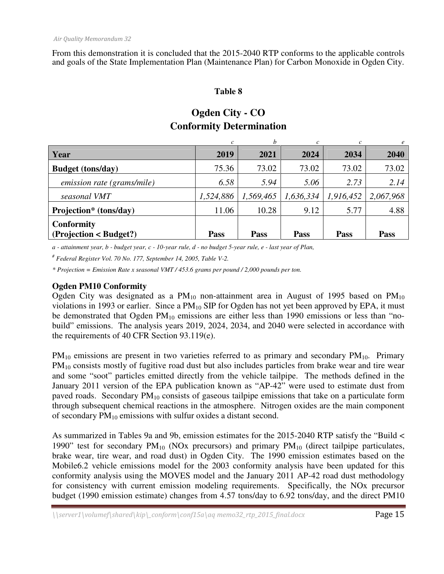From this demonstration it is concluded that the 2015-2040 RTP conforms to the applicable controls and goals of the State Implementation Plan (Maintenance Plan) for Carbon Monoxide in Ogden City.

#### **Table 8**

## **Ogden City - CO Conformity Determination**

|                                             | c         | h           |             | c           | $\epsilon$ |
|---------------------------------------------|-----------|-------------|-------------|-------------|------------|
| Year                                        | 2019      | 2021        | 2024        | 2034        | 2040       |
| <b>Budget</b> (tons/day)                    | 75.36     | 73.02       | 73.02       | 73.02       | 73.02      |
| emission rate (grams/mile)                  | 6.58      | 5.94        | 5.06        | 2.73        | 2.14       |
| seasonal VMT                                | 1,524,886 | 1,569,465   | 1,636,334   | 1,916,452   | 2,067,968  |
| Projection* (tons/day)                      | 11.06     | 10.28       | 9.12        | 5.77        | 4.88       |
| <b>Conformity</b><br>(Projection < Budget?) | Pass      | <b>Pass</b> | <b>Pass</b> | <b>Pass</b> | Pass       |

*a - attainment year, b - budget year, c - 10-year rule, d - no budget 5-year rule, e - last year of Plan,* 

*# Federal Register Vol. 70 No. 177, September 14, 2005, Table V-2.* 

*\* Projection = Emission Rate x seasonal VMT / 453.6 grams per pound / 2,000 pounds per ton.* 

#### **Ogden PM10 Conformity**

Ogden City was designated as a  $PM_{10}$  non-attainment area in August of 1995 based on  $PM_{10}$ violations in 1993 or earlier. Since a  $PM_{10}$  SIP for Ogden has not yet been approved by EPA, it must be demonstrated that Ogden  $PM_{10}$  emissions are either less than 1990 emissions or less than "nobuild" emissions. The analysis years 2019, 2024, 2034, and 2040 were selected in accordance with the requirements of 40 CFR Section 93.119(e).

 $PM_{10}$  emissions are present in two varieties referred to as primary and secondary  $PM_{10}$ . Primary PM<sub>10</sub> consists mostly of fugitive road dust but also includes particles from brake wear and tire wear and some "soot" particles emitted directly from the vehicle tailpipe. The methods defined in the January 2011 version of the EPA publication known as "AP-42" were used to estimate dust from paved roads. Secondary PM<sub>10</sub> consists of gaseous tailpipe emissions that take on a particulate form through subsequent chemical reactions in the atmosphere. Nitrogen oxides are the main component of secondary  $PM_{10}$  emissions with sulfur oxides a distant second.

As summarized in Tables 9a and 9b, emission estimates for the 2015-2040 RTP satisfy the "Build < 1990" test for secondary  $PM_{10}$  (NOx precursors) and primary  $PM_{10}$  (direct tailpipe particulates, brake wear, tire wear, and road dust) in Ogden City. The 1990 emission estimates based on the Mobile6.2 vehicle emissions model for the 2003 conformity analysis have been updated for this conformity analysis using the MOVES model and the January 2011 AP-42 road dust methodology for consistency with current emission modeling requirements. Specifically, the NOx precursor budget (1990 emission estimate) changes from 4.57 tons/day to 6.92 tons/day, and the direct PM10

 $\langle \text{S}}(s) \rangle$  \\server1\volumef\shared\kip\\_conform\conf15a\aq memo32\_rtp\_2015\_final.docx Page 15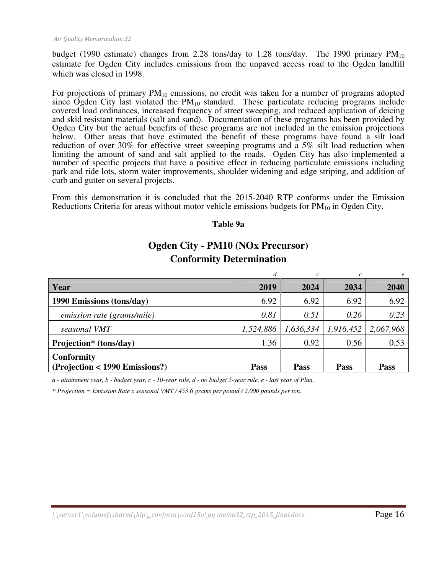budget (1990 estimate) changes from 2.28 tons/day to 1.28 tons/day. The 1990 primary  $PM_{10}$ estimate for Ogden City includes emissions from the unpaved access road to the Ogden landfill which was closed in 1998.

For projections of primary  $PM_{10}$  emissions, no credit was taken for a number of programs adopted since Ogden City last violated the  $PM_{10}$  standard. These particulate reducing programs include covered load ordinances, increased frequency of street sweeping, and reduced application of deicing and skid resistant materials (salt and sand). Documentation of these programs has been provided by Ogden City but the actual benefits of these programs are not included in the emission projections below. Other areas that have estimated the benefit of these programs have found a silt load reduction of over 30% for effective street sweeping programs and a 5% silt load reduction when limiting the amount of sand and salt applied to the roads. Ogden City has also implemented a number of specific projects that have a positive effect in reducing particulate emissions including park and ride lots, storm water improvements, shoulder widening and edge striping, and addition of curb and gutter on several projects.

From this demonstration it is concluded that the 2015-2040 RTP conforms under the Emission Reductions Criteria for areas without motor vehicle emissions budgets for  $PM_{10}$  in Ogden City.

#### **Table 9a**

## **Ogden City - PM10 (NOx Precursor) Conformity Determination**

|                                |           |             |             | $\boldsymbol{e}$ |
|--------------------------------|-----------|-------------|-------------|------------------|
| Year                           | 2019      | 2024        | 2034        | 2040             |
| 1990 Emissions (tons/day)      | 6.92      | 6.92        | 6.92        | 6.92             |
| emission rate (grams/mile)     | 0.81      | 0.51        | 0.26        | 0.23             |
| seasonal VMT                   | 1,524,886 | 1,636,334   | 1,916,452   | 2,067,968        |
| Projection* (tons/day)         | 1.36      | 0.92        | 0.56        | 0.53             |
| <b>Conformity</b>              |           |             |             |                  |
| (Projection < 1990 Emissions?) | Pass      | <b>Pass</b> | <b>Pass</b> | <b>Pass</b>      |

*a - attainment year, b - budget year, c - 10-year rule, d - no budget 5-year rule, e - last year of Plan,* 

*\* Projection = Emission Rate x seasonal VMT / 453.6 grams per pound / 2,000 pounds per ton.*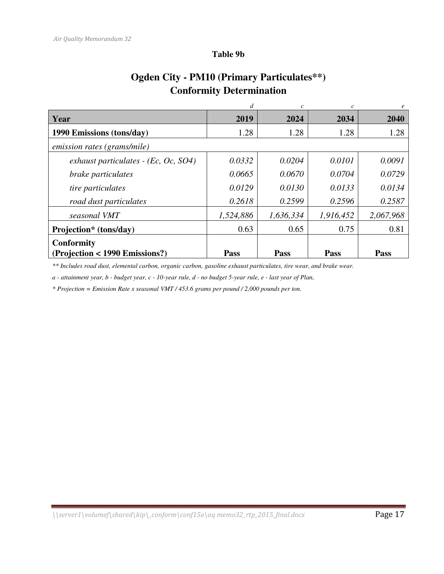#### **Table 9b**

## **Ogden City - PM10 (Primary Particulates\*\*) Conformity Determination**

|                                         |           | $\mathcal{C}$ |           | e         |
|-----------------------------------------|-----------|---------------|-----------|-----------|
| Year                                    | 2019      | 2024          | 2034      | 2040      |
| 1990 Emissions (tons/day)               | 1.28      | 1.28          | 1.28      | 1.28      |
| emission rates (grams/mile)             |           |               |           |           |
| exhaust particulates - (Ec, Oc, $SO4$ ) | 0.0332    | 0.0204        | 0.0101    | 0.0091    |
| brake particulates                      | 0.0665    | 0.0670        | 0.0704    | 0.0729    |
| tire particulates                       | 0.0129    | 0.0130        | 0.0133    | 0.0134    |
| road dust particulates                  | 0.2618    | 0.2599        | 0.2596    | 0.2587    |
| seasonal VMT                            | 1,524,886 | 1,636,334     | 1,916,452 | 2,067,968 |
| Projection* (tons/day)                  | 0.63      | 0.65          | 0.75      | 0.81      |
| <b>Conformity</b>                       |           |               |           |           |
| (Projection < 1990 Emissions?)          | Pass      | Pass          | Pass      | Pass      |

*\*\* Includes road dust, elemental carbon, organic carbon, gasoline exhaust particulates, tire wear, and brake wear.* 

*a - attainment year, b - budget year, c - 10-year rule, d - no budget 5-year rule, e - last year of Plan,* 

*\* Projection = Emission Rate x seasonal VMT / 453.6 grams per pound / 2,000 pounds per ton.*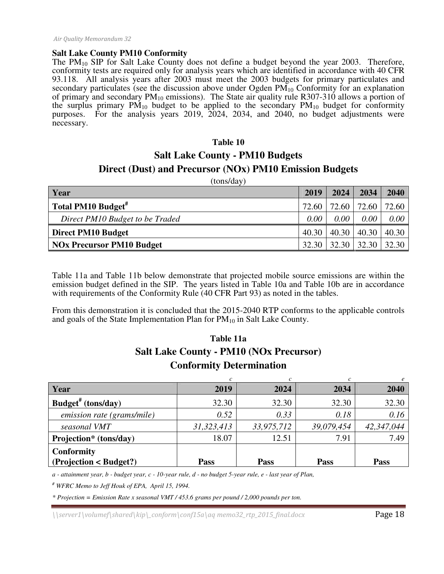#### **Salt Lake County PM10 Conformity**

The  $PM_{10}$  SIP for Salt Lake County does not define a budget beyond the year 2003. Therefore, conformity tests are required only for analysis years which are identified in accordance with 40 CFR 93.118. All analysis years after 2003 must meet the 2003 budgets for primary particulates and secondary particulates (see the discussion above under Ogden  $PM_{10}$  Conformity for an explanation of primary and secondary  $PM_{10}$  emissions). The State air quality rule R307-310 allows a portion of the surplus primary  $PM_{10}$  budget to be applied to the secondary  $PM_{10}$  budget for conformity purposes. For the analysis years 2019, 2024, 2034, and 2040, no budget adjustments were necessary.

#### **Table 10**

## **Salt Lake County - PM10 Budgets Direct (Dust) and Precursor (NOx) PM10 Emission Budgets**

(tons/day)

| Year                             | 2019              | 2024                  | 2034  | 2040  |
|----------------------------------|-------------------|-----------------------|-------|-------|
| Total PM10 Budget <sup>#</sup>   |                   | 72.60   72.60   72.60 |       | 72.60 |
| Direct PM10 Budget to be Traded  | 0.00 <sub>1</sub> | 0.00 <sub>1</sub>     | 0.00  | 0.00  |
| <b>Direct PM10 Budget</b>        | 40.30             | 40.30                 | 40.30 | 40.30 |
| <b>NOx Precursor PM10 Budget</b> | 32.30             | $-32.30$              | 32.30 | 32.30 |

Table 11a and Table 11b below demonstrate that projected mobile source emissions are within the emission budget defined in the SIP. The years listed in Table 10a and Table 10b are in accordance with requirements of the Conformity Rule (40 CFR Part 93) as noted in the tables.

From this demonstration it is concluded that the 2015-2040 RTP conforms to the applicable controls and goals of the State Implementation Plan for  $PM_{10}$  in Salt Lake County.

### **Table 11a Salt Lake County - PM10 (NOx Precursor) Conformity Determination**

| Year                           | 2019       | 2024       | 2034       | 2040        |
|--------------------------------|------------|------------|------------|-------------|
| Budget <sup>#</sup> (tons/day) | 32.30      | 32.30      | 32.30      | 32.30       |
| emission rate (grams/mile)     | 0.52       | 0.33       | 0.18       | 0.16        |
| seasonal VMT                   | 31,323,413 | 33,975,712 | 39,079,454 | 42,347,044  |
| Projection* (tons/day)         | 18.07      | 12.51      | 7.91       | 7.49        |
| <b>Conformity</b>              |            |            |            |             |
| (Projection < Budget?)         | Pass       | Pass       | Pass       | <b>Pass</b> |

*a - attainment year, b - budget year, c - 10-year rule, d - no budget 5-year rule, e - last year of Plan,* 

*# WFRC Memo to Jeff Houk of EPA, April 15, 1994.* 

*\* Projection = Emission Rate x seasonal VMT / 453.6 grams per pound / 2,000 pounds per ton.* 

 $\langle \text{S}}(s) \rangle$  \server1\volumef\shared\kip\\_conform\conf15a\aq memo32\_rtp\_2015\_final.docx Page 18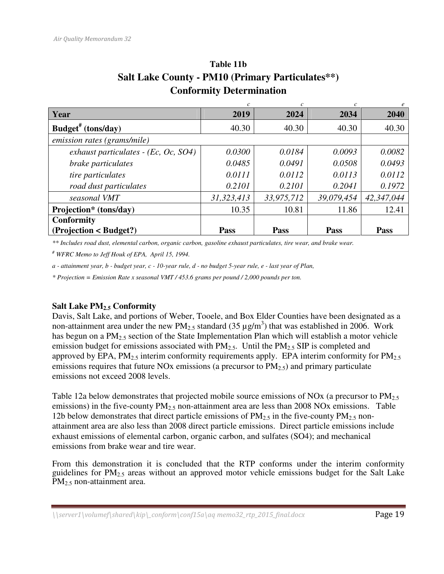|                                         | c          | $\mathcal{C}$ | c          |            |
|-----------------------------------------|------------|---------------|------------|------------|
| Year                                    | 2019       | 2024          | 2034       | 2040       |
| Budget <sup>#</sup> (tons/day)          | 40.30      | 40.30         | 40.30      | 40.30      |
| emission rates (grams/mile)             |            |               |            |            |
| exhaust particulates - (Ec, Oc, $SO4$ ) | 0.0300     | 0.0184        | 0.0093     | 0.0082     |
| brake particulates                      | 0.0485     | 0.0491        | 0.0508     | 0.0493     |
| tire particulates                       | 0.0111     | 0.0112        | 0.0113     | 0.0112     |
| road dust particulates                  | 0.2101     | 0.2101        | 0.2041     | 0.1972     |
| seasonal VMT                            | 31,323,413 | 33,975,712    | 39,079,454 | 42,347,044 |
| Projection* (tons/day)                  | 10.35      | 10.81         | 11.86      | 12.41      |
| <b>Conformity</b>                       |            |               |            |            |
| (Projection < Budget?)                  | Pass       | Pass          | Pass       | Pass       |

## **Table 11b Salt Lake County - PM10 (Primary Particulates\*\*) Conformity Determination**

*\*\* Includes road dust, elemental carbon, organic carbon, gasoline exhaust particulates, tire wear, and brake wear.* 

*# WFRC Memo to Jeff Houk of EPA, April 15, 1994.* 

*a - attainment year, b - budget year, c - 10-year rule, d - no budget 5-year rule, e - last year of Plan,* 

*\* Projection = Emission Rate x seasonal VMT / 453.6 grams per pound / 2,000 pounds per ton.* 

#### **Salt Lake PM2.5 Conformity**

Davis, Salt Lake, and portions of Weber, Tooele, and Box Elder Counties have been designated as a non-attainment area under the new  $PM_{2.5}$  standard (35  $\mu$ g/m<sup>3</sup>) that was established in 2006. Work has begun on a  $PM_{2.5}$  section of the State Implementation Plan which will establish a motor vehicle emission budget for emissions associated with  $PM_{2.5}$ . Until the  $PM_{2.5}$  SIP is completed and approved by EPA,  $PM_{2.5}$  interim conformity requirements apply. EPA interim conformity for  $PM_{2.5}$ emissions requires that future NOx emissions (a precursor to  $PM_{2.5}$ ) and primary particulate emissions not exceed 2008 levels.

Table 12a below demonstrates that projected mobile source emissions of NOx (a precursor to PM<sub>2.5</sub>) emissions) in the five-county  $PM<sub>2.5</sub>$  non-attainment area are less than 2008 NOx emissions. Table 12b below demonstrates that direct particle emissions of  $PM_{2.5}$  in the five-county  $PM_{2.5}$  nonattainment area are also less than 2008 direct particle emissions. Direct particle emissions include exhaust emissions of elemental carbon, organic carbon, and sulfates (SO4); and mechanical emissions from brake wear and tire wear.

From this demonstration it is concluded that the RTP conforms under the interim conformity guidelines for  $PM_{2.5}$  areas without an approved motor vehicle emissions budget for the Salt Lake PM<sub>2.5</sub> non-attainment area.

 $\langle \text{Server1}\rangle$ volumef $\langle \text{shared}\rangle$ kip $\langle \text{conform}\rangle$ conf15a $\langle$ aq memo32\_rtp\_2015\_final.docx **Page 19**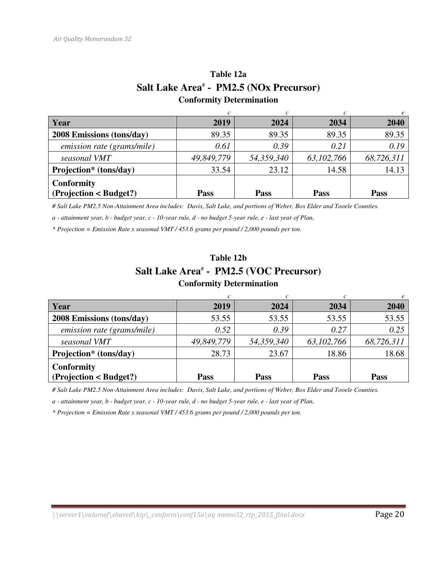### **Table 12a Salt Lake Area**#  **- PM2.5 (NOx Precursor) Conformity Determination**

| Year                                        | 2019        | 2024        | 2034         | 2040        |
|---------------------------------------------|-------------|-------------|--------------|-------------|
| 2008 Emissions (tons/day)                   | 89.35       | 89.35       | 89.35        | 89.35       |
| emission rate (grams/mile)                  | 0.61        | 0.39        | 0.21         | 0.19        |
| seasonal VMT                                | 49,849,779  | 54,359,340  | 63, 102, 766 | 68,726,311  |
| Projection* (tons/day)                      | 33.54       | 23.12       | 14.58        | 14.13       |
| <b>Conformity</b><br>(Projection < Budget?) | <b>Pass</b> | <b>Pass</b> | <b>Pass</b>  | <b>Pass</b> |
|                                             |             |             |              |             |

*# Salt Lake PM2.5 Non-Attainment Area includes: Davis, Salt Lake, and portions of Weber, Box Elder and Tooele Counties.* 

*a - attainment year, b - budget year, c - 10-year rule, d - no budget 5-year rule, e - last year of Plan,* 

*\* Projection = Emission Rate x seasonal VMT / 453.6 grams per pound / 2,000 pounds per ton.* 

### **Table 12b**  Salt Lake Area<sup>#</sup> - PM2.5 (VOC Precursor) **Conformity Determination**

| Year                                        | 2019        | 2024        | 2034         | 2040       |
|---------------------------------------------|-------------|-------------|--------------|------------|
| <b>2008 Emissions (tons/day)</b>            | 53.55       | 53.55       | 53.55        | 53.55      |
| emission rate (grams/mile)                  | 0.52        | 0.39        | 0.27         | 0.25       |
| seasonal VMT                                | 49,849,779  | 54,359,340  | 63, 102, 766 | 68,726,311 |
| Projection* (tons/day)                      | 28.73       | 23.67       | 18.86        | 18.68      |
| <b>Conformity</b><br>(Projection < Budget?) | <b>Pass</b> | <b>Pass</b> | <b>Pass</b>  | Pass       |

*# Salt Lake PM2.5 Non-Attainment Area includes: Davis, Salt Lake, and portions of Weber, Box Elder and Tooele Counties.* 

*a - attainment year, b - budget year, c - 10-year rule, d - no budget 5-year rule, e - last year of Plan,* 

*\* Projection = Emission Rate x seasonal VMT / 453.6 grams per pound / 2,000 pounds per ton.*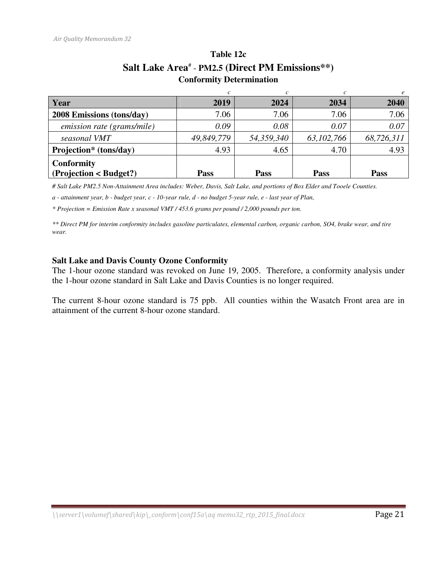| Year                       | 2019        | 2024       | 2034         | 2040        |
|----------------------------|-------------|------------|--------------|-------------|
| 2008 Emissions (tons/day)  | 7.06        | 7.06       | 7.06         | 7.06        |
| emission rate (grams/mile) | 0.09        | 0.08       | 0.07         | 0.07        |
| seasonal VMT               | 49,849,779  | 54,359,340 | 63, 102, 766 | 68,726,311  |
| Projection* (tons/day)     | 4.93        | 4.65       | 4.70         | 4.93        |
| <b>Conformity</b>          |             |            |              |             |
| (Projection < Budget?)     | <b>Pass</b> | Pass       | <b>Pass</b>  | <b>Pass</b> |

### **Table 12c**  Salt Lake Area<sup>#</sup> - PM2.5 (Direct PM Emissions\*\*) **Conformity Determination**

*# Salt Lake PM2.5 Non-Attainment Area includes: Weber, Davis, Salt Lake, and portions of Box Elder and Tooele Counties.* 

*a - attainment year, b - budget year, c - 10-year rule, d - no budget 5-year rule, e - last year of Plan,* 

*\* Projection = Emission Rate x seasonal VMT / 453.6 grams per pound / 2,000 pounds per ton.* 

*\*\* Direct PM for interim conformity includes gasoline particulates, elemental carbon, organic carbon, SO4, brake wear, and tire wear.* 

#### **Salt Lake and Davis County Ozone Conformity**

The 1-hour ozone standard was revoked on June 19, 2005. Therefore, a conformity analysis under the 1-hour ozone standard in Salt Lake and Davis Counties is no longer required.

The current 8-hour ozone standard is 75 ppb. All counties within the Wasatch Front area are in attainment of the current 8-hour ozone standard.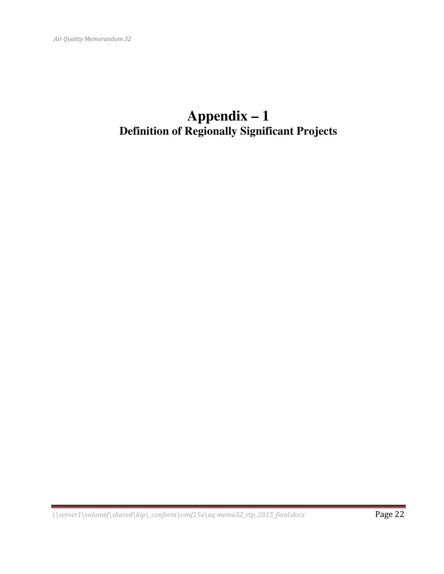## **Appendix – 1 Definition of Regionally Significant Projects**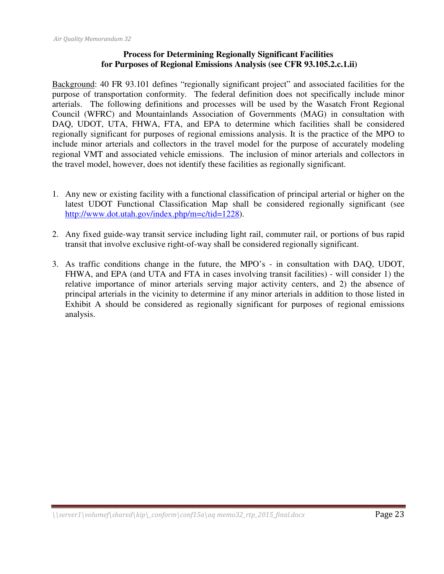#### **Process for Determining Regionally Significant Facilities for Purposes of Regional Emissions Analysis (see CFR 93.105.2.c.1.ii)**

Background: 40 FR 93.101 defines "regionally significant project" and associated facilities for the purpose of transportation conformity. The federal definition does not specifically include minor arterials. The following definitions and processes will be used by the Wasatch Front Regional Council (WFRC) and Mountainlands Association of Governments (MAG) in consultation with DAQ, UDOT, UTA, FHWA, FTA, and EPA to determine which facilities shall be considered regionally significant for purposes of regional emissions analysis. It is the practice of the MPO to include minor arterials and collectors in the travel model for the purpose of accurately modeling regional VMT and associated vehicle emissions. The inclusion of minor arterials and collectors in the travel model, however, does not identify these facilities as regionally significant.

- 1. Any new or existing facility with a functional classification of principal arterial or higher on the latest UDOT Functional Classification Map shall be considered regionally significant (see http://www.dot.utah.gov/index.php/m=c/tid=1228).
- 2. Any fixed guide-way transit service including light rail, commuter rail, or portions of bus rapid transit that involve exclusive right-of-way shall be considered regionally significant.
- 3. As traffic conditions change in the future, the MPO's in consultation with DAQ, UDOT, FHWA, and EPA (and UTA and FTA in cases involving transit facilities) - will consider 1) the relative importance of minor arterials serving major activity centers, and 2) the absence of principal arterials in the vicinity to determine if any minor arterials in addition to those listed in Exhibit A should be considered as regionally significant for purposes of regional emissions analysis.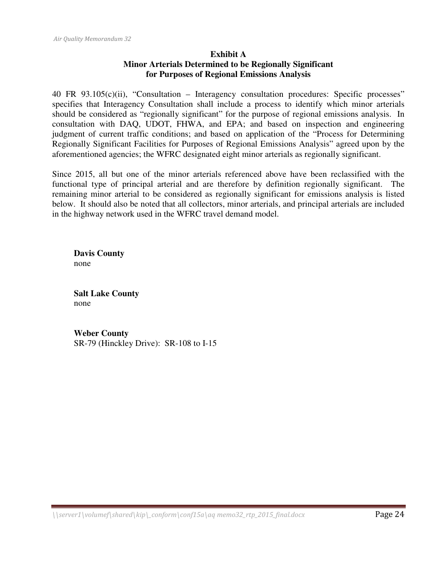#### **Exhibit A Minor Arterials Determined to be Regionally Significant for Purposes of Regional Emissions Analysis**

40 FR 93.105(c)(ii), "Consultation – Interagency consultation procedures: Specific processes" specifies that Interagency Consultation shall include a process to identify which minor arterials should be considered as "regionally significant" for the purpose of regional emissions analysis. In consultation with DAQ, UDOT, FHWA, and EPA; and based on inspection and engineering judgment of current traffic conditions; and based on application of the "Process for Determining Regionally Significant Facilities for Purposes of Regional Emissions Analysis" agreed upon by the aforementioned agencies; the WFRC designated eight minor arterials as regionally significant.

Since 2015, all but one of the minor arterials referenced above have been reclassified with the functional type of principal arterial and are therefore by definition regionally significant. The remaining minor arterial to be considered as regionally significant for emissions analysis is listed below. It should also be noted that all collectors, minor arterials, and principal arterials are included in the highway network used in the WFRC travel demand model.

**Davis County**  none

**Salt Lake County**  none

**Weber County**  SR-79 (Hinckley Drive): SR-108 to I-15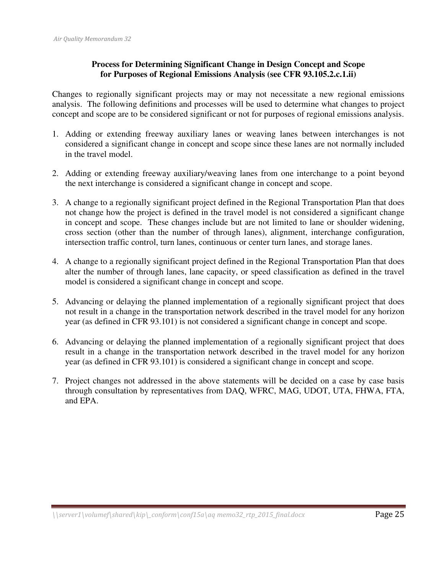#### **Process for Determining Significant Change in Design Concept and Scope for Purposes of Regional Emissions Analysis (see CFR 93.105.2.c.1.ii)**

Changes to regionally significant projects may or may not necessitate a new regional emissions analysis. The following definitions and processes will be used to determine what changes to project concept and scope are to be considered significant or not for purposes of regional emissions analysis.

- 1. Adding or extending freeway auxiliary lanes or weaving lanes between interchanges is not considered a significant change in concept and scope since these lanes are not normally included in the travel model.
- 2. Adding or extending freeway auxiliary/weaving lanes from one interchange to a point beyond the next interchange is considered a significant change in concept and scope.
- 3. A change to a regionally significant project defined in the Regional Transportation Plan that does not change how the project is defined in the travel model is not considered a significant change in concept and scope. These changes include but are not limited to lane or shoulder widening, cross section (other than the number of through lanes), alignment, interchange configuration, intersection traffic control, turn lanes, continuous or center turn lanes, and storage lanes.
- 4. A change to a regionally significant project defined in the Regional Transportation Plan that does alter the number of through lanes, lane capacity, or speed classification as defined in the travel model is considered a significant change in concept and scope.
- 5. Advancing or delaying the planned implementation of a regionally significant project that does not result in a change in the transportation network described in the travel model for any horizon year (as defined in CFR 93.101) is not considered a significant change in concept and scope.
- 6. Advancing or delaying the planned implementation of a regionally significant project that does result in a change in the transportation network described in the travel model for any horizon year (as defined in CFR 93.101) is considered a significant change in concept and scope.
- 7. Project changes not addressed in the above statements will be decided on a case by case basis through consultation by representatives from DAQ, WFRC, MAG, UDOT, UTA, FHWA, FTA, and EPA.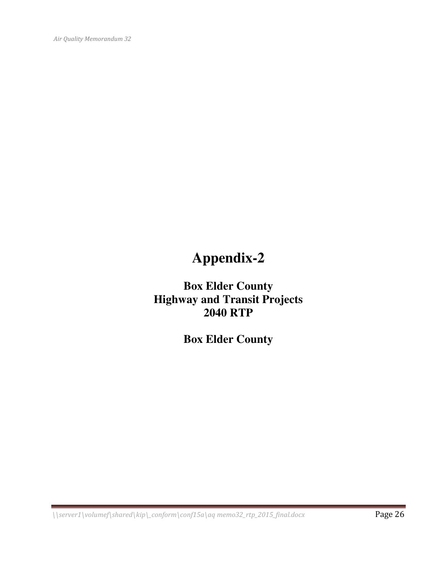Air Quality Memorandum 32

## **Appendix-2**

**Box Elder County Highway and Transit Projects 2040 RTP** 

**Box Elder County**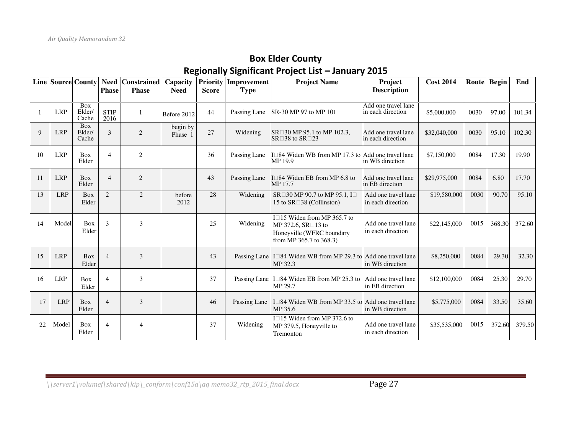### Box Elder County Regionally Significant Project List – January 2015

|    |            | <b>Line Source County</b>     | <b>Phase</b>        | Need Constrained<br><b>Phase</b> | Capacity<br><b>Need</b> | <b>Score</b> | <b>Priority Improvement</b><br><b>Type</b> | <b>Project Name</b>                                                                                       | Project<br><b>Description</b>            | <b>Cost 2014</b> |      | Route Begin | End    |
|----|------------|-------------------------------|---------------------|----------------------------------|-------------------------|--------------|--------------------------------------------|-----------------------------------------------------------------------------------------------------------|------------------------------------------|------------------|------|-------------|--------|
|    |            |                               |                     |                                  |                         |              |                                            |                                                                                                           |                                          |                  |      |             |        |
|    | <b>LRP</b> | Box<br>Elder/<br>Cache        | <b>STIP</b><br>2016 | 1                                | Before 2012             | 44           | Passing Lane                               | SR-30 MP 97 to MP 101                                                                                     | Add one travel lane<br>in each direction | \$5,000,000      | 0030 | 97.00       | 101.34 |
| 9  | <b>LRP</b> | <b>Box</b><br>Elder/<br>Cache | 3                   | 2                                | begin by<br>Phase 1     | 27           | Widening                                   | SR 30 MP 95.1 to MP 102.3,<br>SR 38 to SR 23                                                              | Add one travel lane<br>in each direction | \$32,040,000     | 0030 | 95.10       | 102.30 |
| 10 | <b>LRP</b> | <b>Box</b><br>Elder           | $\overline{4}$      | 2                                |                         | 36           | Passing Lane                               | 84 Widen WB from MP 17.3 to Add one travel lane<br>MP 19.9                                                | in WB direction                          | \$7,150,000      | 0084 | 17.30       | 19.90  |
| 11 | <b>LRP</b> | <b>Box</b><br>Elder           | $\overline{4}$      | 2                                |                         | 43           | Passing Lane                               | 84 Widen EB from MP 6.8 to<br>MP 17.7                                                                     | Add one travel lane<br>in EB direction   | \$29,975,000     | 0084 | 6.80        | 17.70  |
| 13 | <b>LRP</b> | <b>Box</b><br>Elder           | 2                   | 2                                | before<br>2012          | 28           | Widening                                   | SR 30 MP 90.7 to MP 95.1, I<br>15 to SR 38 (Collinston)                                                   | Add one travel lane<br>in each direction | \$19,580,000     | 0030 | 90.70       | 95.10  |
| 14 | Model      | <b>Box</b><br>Elder           | $\mathcal{E}$       | 3                                |                         | 25           | Widening                                   | I 15 Widen from MP 365.7 to<br>MP 372.6, SR 13 to<br>Honeyville (WFRC boundary<br>from MP 365.7 to 368.3) | Add one travel lane<br>in each direction | \$22,145,000     | 0015 | 368.30      | 372.60 |
| 15 | <b>LRP</b> | Box<br>Elder                  | $\overline{4}$      | 3                                |                         | 43           | Passing Lane                               | I 84 Widen WB from MP 29.3 to Add one travel lane<br>MP 32.3                                              | in WB direction                          | \$8,250,000      | 0084 | 29.30       | 32.30  |
| 16 | <b>LRP</b> | Box<br>Elder                  | $\overline{4}$      | 3                                |                         | 37           | Passing Lane                               | I 84 Widen EB from MP 25.3 to<br>MP 29.7                                                                  | Add one travel lane<br>in EB direction   | \$12,100,000     | 0084 | 25.30       | 29.70  |
| 17 | <b>LRP</b> | <b>Box</b><br>Elder           | $\overline{4}$      | 3                                |                         | 46           | Passing Lane                               | I 84 Widen WB from MP 33.5 to Add one travel lane<br>MP 35.6                                              | in WB direction                          | \$5,775,000      | 0084 | 33.50       | 35.60  |
| 22 | Model      | Box<br>Elder                  | $\overline{4}$      | 4                                |                         | 37           | Widening                                   | I 15 Widen from MP 372.6 to<br>MP 379.5, Honeyville to<br>Tremonton                                       | Add one travel lane<br>in each direction | \$35,535,000     | 0015 | 372.60      | 379.50 |

 $\{\sqrt{\sqrt{1-\frac{1}{2\pi}}} \cdot \sqrt{\sqrt{1-\frac{1}{2\pi}}}$  \\server1\volumef\shared\kip\\_conform\conf15a\aq memo32\_rtp\_2015\_final.docx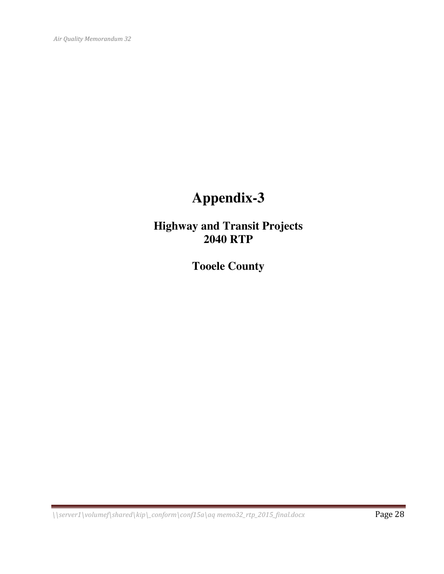Air Quality Memorandum 32

## **Appendix-3**

**Highway and Transit Projects 2040 RTP** 

**Tooele County** 

 $\{\sqrt{\sqrt{1-\frac{1}{2\pi}}} \cdot \sqrt{\sqrt{1-\frac{1}{2\pi}}}$  Page 28